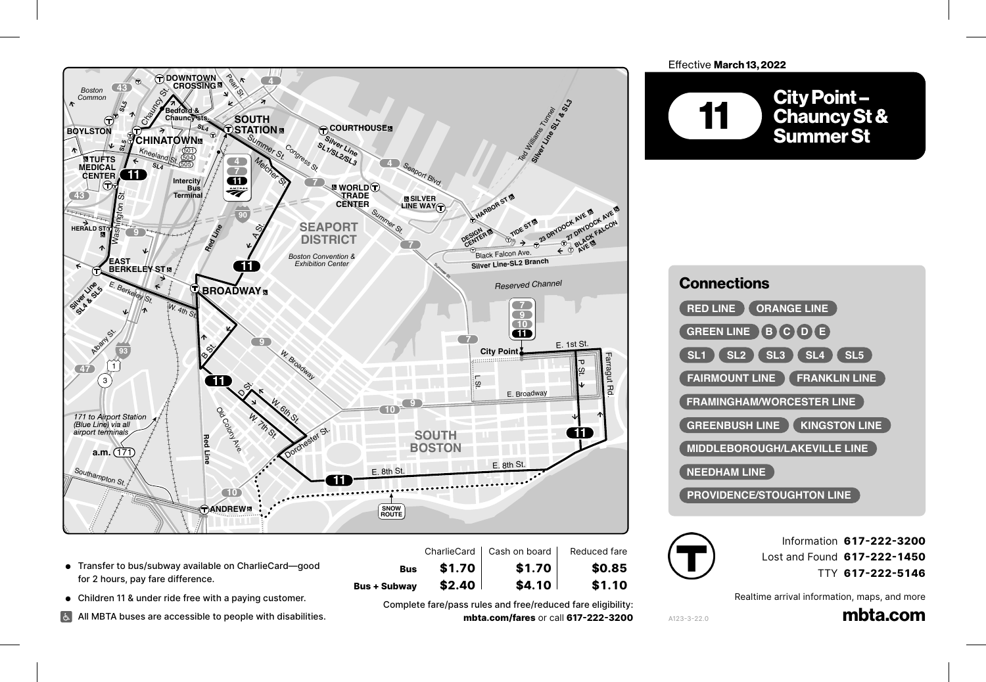

- **.** Transfer to bus/subway available on CharlieCard-good for 2 hours, pay fare difference. Andrew–South Bay Center .<br>....
	- **•** Children 11 & under ride free with a paying customer.

David G. Mugar Way

Revere St.

All MBTA buses are accessible to people with disabilities.

Complete fare/pass rules and free/reduced fare eligibility: **mbta.com/fares** or call **617-222-3200**

**Bus + Subway \$2.40 \$4.10 \$1.10**

**Bus \$1.70 \$1.70 \$0.85**

## Effective March 13, 2022







A123-3-22.0

Information **617-222-3200** Lost and Found **617-222-1450** TTY **617-222-5146**

Realtime arrival information, maps, and more

mbta.com